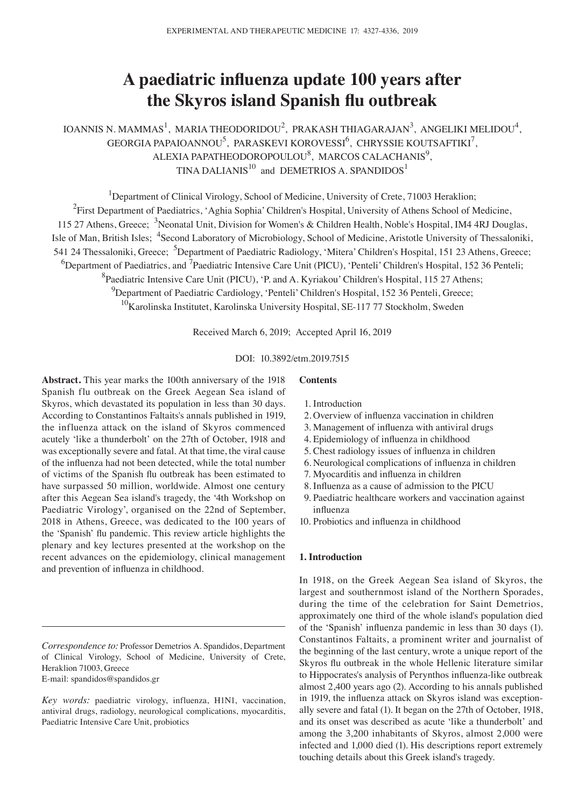# **A paediatric influenza update 100 years after the Skyros island Spanish flu outbreak**

IOANNIS N. MAMMAS<sup>1</sup>, MARIA THEODORIDOU<sup>2</sup>, PRAKASH THIAGARAJAN<sup>3</sup>, ANGELIKI MELIDOU<sup>4</sup>, GEORGIA PAPAIOANNOU $^5$ , PARASKEVI KOROVESSI $^6$ , CHRYSSIE KOUTSAFTIKI $^7$ ,  $ALEXIA$  PAPATHEODOROPOULOU<sup>8</sup>, MARCOS CALACHANIS<sup>9</sup>, TINA DALIANIS<sup>10</sup> and DEMETRIOS A. SPANDIDOS<sup>1</sup>

<sup>1</sup>Department of Clinical Virology, School of Medicine, University of Crete, 71003 Heraklion;

<sup>2</sup>First Department of Paediatrics, 'Aghia Sophia' Children's Hospital, University of Athens School of Medicine,

115 27 Athens, Greece; <sup>3</sup>Neonatal Unit, Division for Women's & Children Health, Noble's Hospital, IM4 4RJ Douglas,

Isle of Man, British Isles; <sup>4</sup>Second Laboratory of Microbiology, School of Medicine, Aristotle University of Thessaloniki,

541 24 Thessaloniki, Greece; <sup>5</sup>Department of Paediatric Radiology, 'Mitera' Children's Hospital, 151 23 Athens, Greece;

 ${}^{6}$ Department of Paediatrics, and <sup>7</sup>Paediatric Intensive Care Unit (PICU), 'Penteli' Children's Hospital, 152 36 Penteli;

<sup>8</sup> Paediatric Intensive Care Unit (PICU), 'P. and A. Kyriakou' Children's Hospital, 115 27 Athens;

<sup>9</sup>Department of Paediatric Cardiology, 'Penteli' Children's Hospital, 152 36 Penteli, Greece;

<sup>10</sup>Karolinska Institutet, Karolinska University Hospital, SE-117 77 Stockholm, Sweden

Received March 6, 2019; Accepted April 16, 2019

# DOI: 10.3892/etm.2019.7515

**Abstract.** This year marks the 100th anniversary of the 1918 Spanish flu outbreak on the Greek Aegean Sea island of Skyros, which devastated its population in less than 30 days. According to Constantinos Faltaits's annals published in 1919, the influenza attack on the island of Skyros commenced acutely 'like a thunderbolt' on the 27th of October, 1918 and was exceptionally severe and fatal. At that time, the viral cause of the influenza had not been detected, while the total number of victims of the Spanish flu outbreak has been estimated to have surpassed 50 million, worldwide. Almost one century after this Aegean Sea island's tragedy, the '4th Workshop on Paediatric Virology', organised on the 22nd of September, 2018 in Athens, Greece, was dedicated to the 100 years of the 'Spanish' flu pandemic. This review article highlights the plenary and key lectures presented at the workshop on the recent advances on the epidemiology, clinical management and prevention of influenza in childhood.

E-mail: spandidos@spandidos.gr

## 1. Introduction

**Contents**

- 2. Overview of influenza vaccination in children
- 3. Management of influenza with antiviral drugs
- 4. Epidemiology of influenza in childhood
- 5. Chest radiology issues of influenza in children
- 6. Neurological complications of influenza in children
- 7. Myocarditis and influenza in children
- 8. Influenza as a cause of admission to the PICU
- 9. Paediatric healthcare workers and vaccination against influenza
- 10. Probiotics and influenza in childhood

# **1. Introduction**

In 1918, on the Greek Aegean Sea island of Skyros, the largest and southernmost island of the Northern Sporades, during the time of the celebration for Saint Demetrios, approximately one third of the whole island's population died of the 'Spanish' influenza pandemic in less than 30 days (1). Constantinos Faltaits, a prominent writer and journalist of the beginning of the last century, wrote a unique report of the Skyros flu outbreak in the whole Hellenic literature similar to Hippocrates's analysis of Perynthos influenza‑like outbreak almost 2,400 years ago (2). According to his annals published in 1919, the influenza attack on Skyros island was exceptionally severe and fatal (1). It began on the 27th of October, 1918, and its onset was described as acute 'like a thunderbolt' and among the 3,200 inhabitants of Skyros, almost 2,000 were infected and 1,000 died (1). His descriptions report extremely touching details about this Greek island's tragedy.

*Correspondence to:* Professor Demetrios A. Spandidos, Department of Clinical Virology, School of Medicine, University of Crete, Heraklion 71003, Greece

*Key words:* paediatric virology, influenza, H1N1, vaccination, antiviral drugs, radiology, neurological complications, myocarditis, Paediatric Intensive Care Unit, probiotics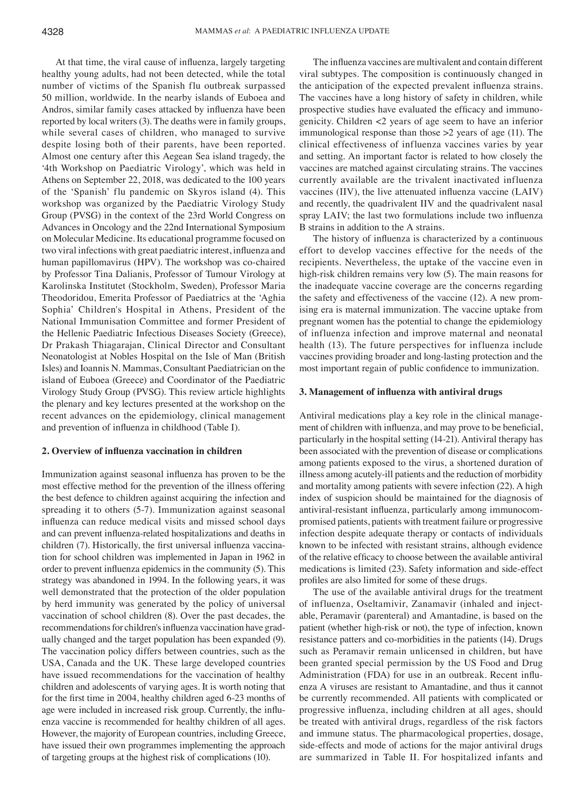At that time, the viral cause of influenza, largely targeting healthy young adults, had not been detected, while the total number of victims of the Spanish flu outbreak surpassed 50 million, worldwide. In the nearby islands of Euboea and Andros, similar family cases attacked by influenza have been reported by local writers (3). The deaths were in family groups, while several cases of children, who managed to survive despite losing both of their parents, have been reported. Almost one century after this Aegean Sea island tragedy, the '4th Workshop on Paediatric Virology', which was held in Athens on September 22, 2018, was dedicated to the 100 years of the 'Spanish' flu pandemic on Skyros island (4). This workshop was organized by the Paediatric Virology Study Group (PVSG) in the context of the 23rd World Congress on Advances in Oncology and the 22nd International Symposium on Molecular Medicine. Its educational programme focused on two viral infections with great paediatric interest, influenza and human papillomavirus (HPV). The workshop was co‑chaired by Professor Tina Dalianis, Professor of Tumour Virology at Karolinska Institutet (Stockholm, Sweden), Professor Maria Theodoridou, Emerita Professor of Paediatrics at the 'Aghia Sophia' Children's Hospital in Athens, President of the National Immunisation Committee and former President of the Hellenic Paediatric Infectious Diseases Society (Greece), Dr Prakash Thiagarajan, Clinical Director and Consultant Neonatologist at Nobles Hospital on the Isle of Man (British Isles) and Ioannis N. Mammas, Consultant Paediatrician on the island of Euboea (Greece) and Coordinator of the Paediatric Virology Study Group (PVSG). This review article highlights the plenary and key lectures presented at the workshop on the recent advances on the epidemiology, clinical management and prevention of influenza in childhood (Table I).

# **2. Overview of influenza vaccination in children**

Immunization against seasonal influenza has proven to be the most effective method for the prevention of the illness offering the best defence to children against acquiring the infection and spreading it to others (5‑7). Immunization against seasonal influenza can reduce medical visits and missed school days and can prevent influenza‑related hospitalizations and deaths in children (7). Historically, the first universal influenza vaccination for school children was implemented in Japan in 1962 in order to prevent influenza epidemics in the community (5). This strategy was abandoned in 1994. In the following years, it was well demonstrated that the protection of the older population by herd immunity was generated by the policy of universal vaccination of school children (8). Over the past decades, the recommendations for children's influenza vaccination have gradually changed and the target population has been expanded (9). The vaccination policy differs between countries, such as the USA, Canada and the UK. These large developed countries have issued recommendations for the vaccination of healthy children and adolescents of varying ages. It is worth noting that for the first time in 2004, healthy children aged 6‑23 months of age were included in increased risk group. Currently, the influenza vaccine is recommended for healthy children of all ages. However, the majority of European countries, including Greece, have issued their own programmes implementing the approach of targeting groups at the highest risk of complications (10).

The influenza vaccines are multivalent and contain different viral subtypes. The composition is continuously changed in the anticipation of the expected prevalent influenza strains. The vaccines have a long history of safety in children, while prospective studies have evaluated the efficacy and immunogenicity. Children <2 years of age seem to have an inferior immunological response than those >2 years of age (11). The clinical effectiveness of influenza vaccines varies by year and setting. An important factor is related to how closely the vaccines are matched against circulating strains. The vaccines currently available are the trivalent inactivated influenza vaccines (IIV), the live attenuated influenza vaccine (LAIV) and recently, the quadrivalent IIV and the quadrivalent nasal spray LAIV; the last two formulations include two influenza B strains in addition to the A strains.

The history of influenza is characterized by a continuous effort to develop vaccines effective for the needs of the recipients. Nevertheless, the uptake of the vaccine even in high-risk children remains very low (5). The main reasons for the inadequate vaccine coverage are the concerns regarding the safety and effectiveness of the vaccine (12). A new promising era is maternal immunization. The vaccine uptake from pregnant women has the potential to change the epidemiology of influenza infection and improve maternal and neonatal health (13). The future perspectives for influenza include vaccines providing broader and long-lasting protection and the most important regain of public confidence to immunization.

#### **3. Management of influenza with antiviral drugs**

Antiviral medications play a key role in the clinical management of children with influenza, and may prove to be beneficial, particularly in the hospital setting (14‑21). Antiviral therapy has been associated with the prevention of disease or complications among patients exposed to the virus, a shortened duration of illness among acutely-ill patients and the reduction of morbidity and mortality among patients with severe infection (22). A high index of suspicion should be maintained for the diagnosis of antiviral-resistant influenza, particularly among immunocompromised patients, patients with treatment failure or progressive infection despite adequate therapy or contacts of individuals known to be infected with resistant strains, although evidence of the relative efficacy to choose between the available antiviral medications is limited (23). Safety information and side-effect profiles are also limited for some of these drugs.

The use of the available antiviral drugs for the treatment of influenza, Oseltamivir, Zanamavir (inhaled and injectable, Peramavir (parenteral) and Amantadine, is based on the patient (whether high-risk or not), the type of infection, known resistance patters and co-morbidities in the patients (14). Drugs such as Peramavir remain unlicensed in children, but have been granted special permission by the US Food and Drug Administration (FDA) for use in an outbreak. Recent influenza A viruses are resistant to Amantadine, and thus it cannot be currently recommended. All patients with complicated or progressive influenza, including children at all ages, should be treated with antiviral drugs, regardless of the risk factors and immune status. The pharmacological properties, dosage, side-effects and mode of actions for the major antiviral drugs are summarized in Table II. For hospitalized infants and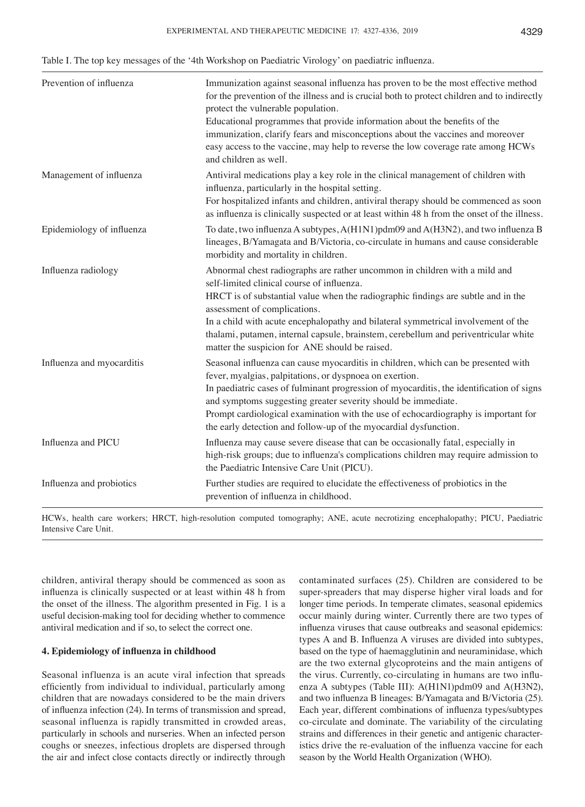| Prevention of influenza   | Immunization against seasonal influenza has proven to be the most effective method<br>for the prevention of the illness and is crucial both to protect children and to indirectly<br>protect the vulnerable population.<br>Educational programmes that provide information about the benefits of the<br>immunization, clarify fears and misconceptions about the vaccines and moreover<br>easy access to the vaccine, may help to reverse the low coverage rate among HCWs<br>and children as well. |
|---------------------------|-----------------------------------------------------------------------------------------------------------------------------------------------------------------------------------------------------------------------------------------------------------------------------------------------------------------------------------------------------------------------------------------------------------------------------------------------------------------------------------------------------|
| Management of influenza   | Antiviral medications play a key role in the clinical management of children with<br>influenza, particularly in the hospital setting.<br>For hospitalized infants and children, antiviral therapy should be commenced as soon<br>as influenza is clinically suspected or at least within 48 h from the onset of the illness.                                                                                                                                                                        |
| Epidemiology of influenza | To date, two influenza A subtypes, A(H1N1)pdm09 and A(H3N2), and two influenza B<br>lineages, B/Yamagata and B/Victoria, co-circulate in humans and cause considerable<br>morbidity and mortality in children.                                                                                                                                                                                                                                                                                      |
| Influenza radiology       | Abnormal chest radiographs are rather uncommon in children with a mild and<br>self-limited clinical course of influenza.<br>HRCT is of substantial value when the radiographic findings are subtle and in the<br>assessment of complications.<br>In a child with acute encephalopathy and bilateral symmetrical involvement of the<br>thalami, putamen, internal capsule, brainstem, cerebellum and periventricular white<br>matter the suspicion for ANE should be raised.                         |
| Influenza and myocarditis | Seasonal influenza can cause myocarditis in children, which can be presented with<br>fever, myalgias, palpitations, or dyspnoea on exertion.<br>In paediatric cases of fulminant progression of myocarditis, the identification of signs<br>and symptoms suggesting greater severity should be immediate.<br>Prompt cardiological examination with the use of echocardiography is important for<br>the early detection and follow-up of the myocardial dysfunction.                                 |
| Influenza and PICU        | Influenza may cause severe disease that can be occasionally fatal, especially in<br>high-risk groups; due to influenza's complications children may require admission to<br>the Paediatric Intensive Care Unit (PICU).                                                                                                                                                                                                                                                                              |
| Influenza and probiotics  | Further studies are required to elucidate the effectiveness of probiotics in the<br>prevention of influenza in childhood.                                                                                                                                                                                                                                                                                                                                                                           |

HCWs, health care workers; HRCT, high-resolution computed tomography; ANE, acute necrotizing encephalopathy; PICU, Paediatric Intensive Care Unit.

children, antiviral therapy should be commenced as soon as influenza is clinically suspected or at least within 48 h from the onset of the illness. The algorithm presented in Fig. 1 is a useful decision-making tool for deciding whether to commence antiviral medication and if so, to select the correct one.

# **4. Epidemiology of influenza in childhood**

Seasonal influenza is an acute viral infection that spreads efficiently from individual to individual, particularly among children that are nowadays considered to be the main drivers of influenza infection (24). In terms of transmission and spread, seasonal influenza is rapidly transmitted in crowded areas, particularly in schools and nurseries. When an infected person coughs or sneezes, infectious droplets are dispersed through the air and infect close contacts directly or indirectly through contaminated surfaces (25). Children are considered to be super-spreaders that may disperse higher viral loads and for longer time periods. In temperate climates, seasonal epidemics occur mainly during winter. Currently there are two types of influenza viruses that cause outbreaks and seasonal epidemics: types A and B. Influenza A viruses are divided into subtypes, based on the type of haemagglutinin and neuraminidase, which are the two external glycoproteins and the main antigens of the virus. Currently, co-circulating in humans are two influenza A subtypes (Table III): A(H1N1)pdm09 and A(H3N2), and two influenza B lineages: B/Yamagata and B/Victoria (25). Each year, different combinations of influenza types/subtypes co-circulate and dominate. The variability of the circulating strains and differences in their genetic and antigenic characteristics drive the re‑evaluation of the influenza vaccine for each season by the World Health Organization (WHO).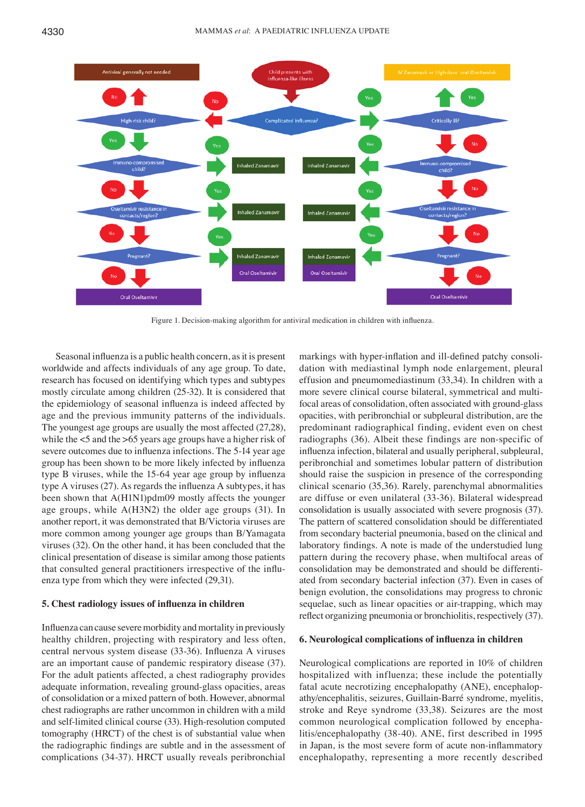

Figure 1. Decision-making algorithm for antiviral medication in children with influenza.

Seasonal influenza is a public health concern, as it is present worldwide and affects individuals of any age group. To date, research has focused on identifying which types and subtypes mostly circulate among children (25‑32). It is considered that the epidemiology of seasonal influenza is indeed affected by age and the previous immunity patterns of the individuals. The youngest age groups are usually the most affected (27,28), while the <5 and the >65 years age groups have a higher risk of severe outcomes due to influenza infections. The 5-14 year age group has been shown to be more likely infected by influenza type B viruses, while the 15‑64 year age group by influenza type A viruses (27). As regards the influenza A subtypes, it has been shown that A(H1N1)pdm09 mostly affects the younger age groups, while A(H3N2) the older age groups (31). In another report, it was demonstrated that B/Victoria viruses are more common among younger age groups than B/Yamagata viruses (32). On the other hand, it has been concluded that the clinical presentation of disease is similar among those patients that consulted general practitioners irrespective of the influenza type from which they were infected (29,31).

#### **5. Chest radiology issues of influenza in children**

Influenza can cause severe morbidity and mortality in previously healthy children, projecting with respiratory and less often, central nervous system disease (33‑36). Influenza A viruses are an important cause of pandemic respiratory disease (37). For the adult patients affected, a chest radiography provides adequate information, revealing ground-glass opacities, areas of consolidation or a mixed pattern of both. However, abnormal chest radiographs are rather uncommon in children with a mild and self-limited clinical course (33). High-resolution computed tomography (HRCT) of the chest is of substantial value when the radiographic findings are subtle and in the assessment of complications (34‑37). HRCT usually reveals peribronchial markings with hyper-inflation and ill-defined patchy consolidation with mediastinal lymph node enlargement, pleural effusion and pneumomediastinum (33,34). In children with a more severe clinical course bilateral, symmetrical and multifocal areas of consolidation, often associated with ground-glass opacities, with peribronchial or subpleural distribution, are the predominant radiographical finding, evident even on chest radiographs (36). Albeit these findings are non‑specific of influenza infection, bilateral and usually peripheral, subpleural, peribronchial and sometimes lobular pattern of distribution should raise the suspicion in presence of the corresponding clinical scenario (35,36). Rarely, parenchymal abnormalities are diffuse or even unilateral (33‑36). Bilateral widespread consolidation is usually associated with severe prognosis (37). The pattern of scattered consolidation should be differentiated from secondary bacterial pneumonia, based on the clinical and laboratory findings. A note is made of the understudied lung pattern during the recovery phase, when multifocal areas of consolidation may be demonstrated and should be differentiated from secondary bacterial infection (37). Even in cases of benign evolution, the consolidations may progress to chronic sequelae, such as linear opacities or air-trapping, which may reflect organizing pneumonia or bronchiolitis, respectively (37).

# **6. Neurological complications of influenza in children**

Neurological complications are reported in 10% of children hospitalized with influenza; these include the potentially fatal acute necrotizing encephalopathy (ANE), encephalopathy/encephalitis, seizures, Guillain-Barré syndrome, myelitis, stroke and Reye syndrome (33,38). Seizures are the most common neurological complication followed by encephalitis/encephalopathy (38‑40). ANE, first described in 1995 in Japan, is the most severe form of acute non‑inflammatory encephalopathy, representing a more recently described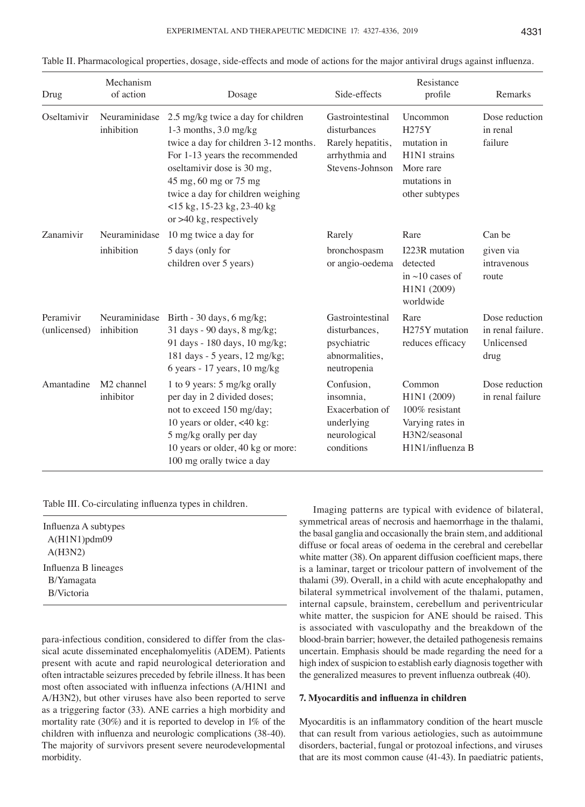| Drug                      | Mechanism<br>of action              | Dosage                                                                                                                                                                                                                                                                                               | Side-effects                                                                               | Resistance<br>profile                                                                                                    | Remarks                                                   |
|---------------------------|-------------------------------------|------------------------------------------------------------------------------------------------------------------------------------------------------------------------------------------------------------------------------------------------------------------------------------------------------|--------------------------------------------------------------------------------------------|--------------------------------------------------------------------------------------------------------------------------|-----------------------------------------------------------|
| Oseltamivir               | Neuraminidase<br>inhibition         | 2.5 mg/kg twice a day for children<br>$1-3$ months, $3.0$ mg/kg<br>twice a day for children 3-12 months.<br>For 1-13 years the recommended<br>oseltamivir dose is 30 mg,<br>45 mg, 60 mg or 75 mg<br>twice a day for children weighing<br>$<$ 15 kg, 15-23 kg, 23-40 kg<br>or $>40$ kg, respectively | Gastrointestinal<br>disturbances<br>Rarely hepatitis,<br>arrhythmia and<br>Stevens-Johnson | Uncommon<br>H275Y<br>mutation in<br>H <sub>1</sub> N <sub>1</sub> strains<br>More rare<br>mutations in<br>other subtypes | Dose reduction<br>in renal<br>failure                     |
| Zanamivir                 | Neuraminidase<br>inhibition         | 10 mg twice a day for<br>5 days (only for<br>children over 5 years)                                                                                                                                                                                                                                  | Rarely<br>bronchospasm<br>or angio-oedema                                                  | Rare<br>I223R mutation<br>detected<br>in $\sim$ 10 cases of<br>H1N1 (2009)<br>worldwide                                  | Can be<br>given via<br>intravenous<br>route               |
| Peramivir<br>(unlicensed) | Neuraminidase<br>inhibition         | Birth - 30 days, 6 mg/kg;<br>31 days - 90 days, 8 mg/kg;<br>91 days - 180 days, 10 mg/kg;<br>181 days - 5 years, 12 mg/kg;<br>6 years - 17 years, $10 \text{ mg/kg}$                                                                                                                                 | Gastrointestinal<br>disturbances,<br>psychiatric<br>abnormalities,<br>neutropenia          | Rare<br>H275Y mutation<br>reduces efficacy                                                                               | Dose reduction<br>in renal failure.<br>Unlicensed<br>drug |
| Amantadine                | M <sub>2</sub> channel<br>inhibitor | 1 to 9 years: 5 mg/kg orally<br>per day in 2 divided doses;<br>not to exceed 150 mg/day;<br>10 years or older, <40 kg:<br>5 mg/kg orally per day<br>10 years or older, 40 kg or more:<br>100 mg orally twice a day                                                                                   | Confusion,<br>insomnia,<br>Exacerbation of<br>underlying<br>neurological<br>conditions     | Common<br>H1N1 (2009)<br>$100\%$ resistant<br>Varying rates in<br>H3N2/seasonal<br>H1N1/influenza B                      | Dose reduction<br>in renal failure                        |

| Table II. Pharmacological properties, dosage, side-effects and mode of actions for the major antiviral drugs against influenza |  |  |
|--------------------------------------------------------------------------------------------------------------------------------|--|--|
|--------------------------------------------------------------------------------------------------------------------------------|--|--|

Table III. Co-circulating influenza types in children.

| Influenza A subtypes |  |
|----------------------|--|
| $A(H1N1)$ pdm09      |  |
| A(H3N2)              |  |
| Influenza B lineages |  |
| B/Yamagata           |  |
| <b>B/Victoria</b>    |  |
|                      |  |

para-infectious condition, considered to differ from the classical acute disseminated encephalomyelitis (ADEM). Patients present with acute and rapid neurological deterioration and often intractable seizures preceded by febrile illness. It has been most often associated with influenza infections (A/H1N1 and A/H3N2), but other viruses have also been reported to serve as a triggering factor (33). ANE carries a high morbidity and mortality rate (30%) and it is reported to develop in 1% of the children with influenza and neurologic complications (38‑40). The majority of survivors present severe neurodevelopmental morbidity.

Imaging patterns are typical with evidence of bilateral, symmetrical areas of necrosis and haemorrhage in the thalami, the basal ganglia and occasionally the brain stem, and additional diffuse or focal areas of oedema in the cerebral and cerebellar white matter (38). On apparent diffusion coefficient maps, there is a laminar, target or tricolour pattern of involvement of the thalami (39). Overall, in a child with acute encephalopathy and bilateral symmetrical involvement of the thalami, putamen, internal capsule, brainstem, cerebellum and periventricular white matter, the suspicion for ANE should be raised. This is associated with vasculopathy and the breakdown of the blood-brain barrier; however, the detailed pathogenesis remains uncertain. Emphasis should be made regarding the need for a high index of suspicion to establish early diagnosis together with the generalized measures to prevent influenza outbreak (40).

## **7. Myocarditis and influenza in children**

Myocarditis is an inflammatory condition of the heart muscle that can result from various aetiologies, such as autoimmune disorders, bacterial, fungal or protozoal infections, and viruses that are its most common cause (41‑43). In paediatric patients,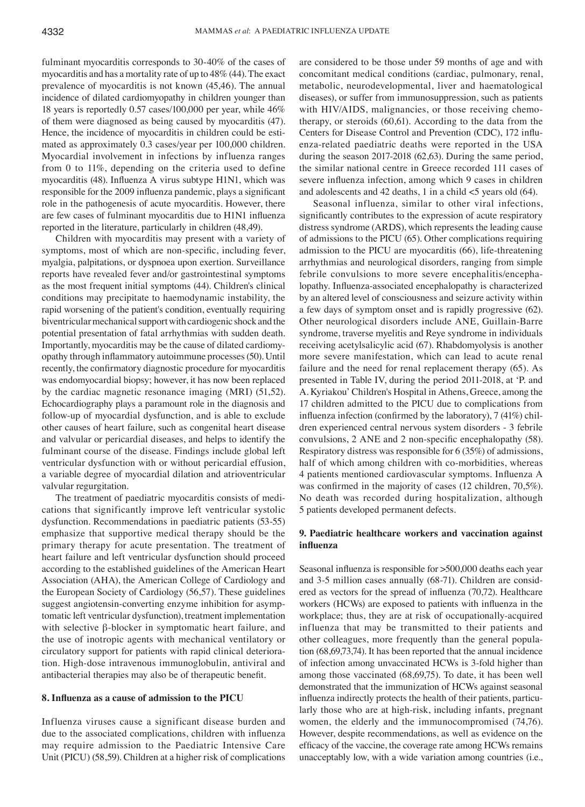fulminant myocarditis corresponds to 30-40% of the cases of myocarditis and has a mortality rate of up to 48% (44). The exact prevalence of myocarditis is not known (45,46). The annual incidence of dilated cardiomyopathy in children younger than 18 years is reportedly 0.57 cases/100,000 per year, while 46% of them were diagnosed as being caused by myocarditis (47). Hence, the incidence of myocarditis in children could be estimated as approximately 0.3 cases/year per 100,000 children. Myocardial involvement in infections by influenza ranges from 0 to 11%, depending on the criteria used to define myocarditis (48). Influenza A virus subtype H1N1, which was responsible for the 2009 influenza pandemic, plays a significant role in the pathogenesis of acute myocarditis. However, there are few cases of fulminant myocarditis due to H1N1 influenza reported in the literature, particularly in children (48,49).

Children with myocarditis may present with a variety of symptoms, most of which are non‑specific, including fever, myalgia, palpitations, or dyspnoea upon exertion. Surveillance reports have revealed fever and/or gastrointestinal symptoms as the most frequent initial symptoms (44). Children's clinical conditions may precipitate to haemodynamic instability, the rapid worsening of the patient's condition, eventually requiring biventricular mechanical support with cardiogenic shock and the potential presentation of fatal arrhythmias with sudden death. Importantly, myocarditis may be the cause of dilated cardiomyopathy through inflammatory autoimmune processes(50). Until recently, the confirmatory diagnostic procedure for myocarditis was endomyocardial biopsy; however, it has now been replaced by the cardiac magnetic resonance imaging (MRI) (51,52). Echocardiography plays a paramount role in the diagnosis and follow-up of myocardial dysfunction, and is able to exclude other causes of heart failure, such as congenital heart disease and valvular or pericardial diseases, and helps to identify the fulminant course of the disease. Findings include global left ventricular dysfunction with or without pericardial effusion, a variable degree of myocardial dilation and atrioventricular valvular regurgitation.

The treatment of paediatric myocarditis consists of medications that significantly improve left ventricular systolic dysfunction. Recommendations in paediatric patients (53‑55) emphasize that supportive medical therapy should be the primary therapy for acute presentation. The treatment of heart failure and left ventricular dysfunction should proceed according to the established guidelines of the American Heart Association (AHA), the American College of Cardiology and the European Society of Cardiology (56,57). These guidelines suggest angiotensin-converting enzyme inhibition for asymptomatic left ventricular dysfunction), treatment implementation with selective β-blocker in symptomatic heart failure, and the use of inotropic agents with mechanical ventilatory or circulatory support for patients with rapid clinical deterioration. High-dose intravenous immunoglobulin, antiviral and antibacterial therapies may also be of therapeutic benefit.

### **8. Influenza as a cause of admission to the PICU**

Influenza viruses cause a significant disease burden and due to the associated complications, children with influenza may require admission to the Paediatric Intensive Care Unit (PICU) (58,59). Children at a higher risk of complications are considered to be those under 59 months of age and with concomitant medical conditions (cardiac, pulmonary, renal, metabolic, neurodevelopmental, liver and haematological diseases), or suffer from immunosuppression, such as patients with HIV/AIDS, malignancies, or those receiving chemotherapy, or steroids (60,61). According to the data from the Centers for Disease Control and Prevention (CDC), 172 influenza-related paediatric deaths were reported in the USA during the season 2017-2018 (62,63). During the same period, the similar national centre in Greece recorded 111 cases of severe influenza infection, among which 9 cases in children and adolescents and 42 deaths, 1 in a child <5 years old (64).

Seasonal influenza, similar to other viral infections, significantly contributes to the expression of acute respiratory distress syndrome (ARDS), which represents the leading cause of admissions to the PICU (65). Other complications requiring admission to the PICU are myocarditis (66), life-threatening arrhythmias and neurological disorders, ranging from simple febrile convulsions to more severe encephalitis/encephalopathy. Influenza‑associated encephalopathy is characterized by an altered level of consciousness and seizure activity within a few days of symptom onset and is rapidly progressive (62). Other neurological disorders include ANE, Guillain-Barre syndrome, traverse myelitis and Reye syndrome in individuals receiving acetylsalicylic acid (67). Rhabdomyolysis is another more severe manifestation, which can lead to acute renal failure and the need for renal replacement therapy (65). As presented in Table IV, during the period 2011-2018, at 'P. and A. Kyriakou' Children's Hospital in Athens, Greece, among the 17 children admitted to the PICU due to complications from influenza infection (confirmed by the laboratory), 7 (41%) children experienced central nervous system disorders - 3 febrile convulsions, 2 ANE and 2 non‑specific encephalopathy (58). Respiratory distress was responsible for 6 (35%) of admissions, half of which among children with co-morbidities, whereas 4 patients mentioned cardiovascular symptoms. Influenza A was confirmed in the majority of cases (12 children, 70,5%). No death was recorded during hospitalization, although 5 patients developed permanent defects.

# **9. Paediatric healthcare workers and vaccination against influenza**

Seasonal influenza is responsible for >500,000 deaths each year and 3‑5 million cases annually (68‑71). Children are considered as vectors for the spread of influenza (70,72). Healthcare workers (HCWs) are exposed to patients with influenza in the workplace; thus, they are at risk of occupationally-acquired influenza that may be transmitted to their patients and other colleagues, more frequently than the general population (68,69,73,74). It has been reported that the annual incidence of infection among unvaccinated HCWs is 3-fold higher than among those vaccinated (68,69,75). To date, it has been well demonstrated that the immunization of HCWs against seasonal influenza indirectly protects the health of their patients, particularly those who are at high-risk, including infants, pregnant women, the elderly and the immunocompromised (74,76). However, despite recommendations, as well as evidence on the efficacy of the vaccine, the coverage rate among HCWs remains unacceptably low, with a wide variation among countries (i.e.,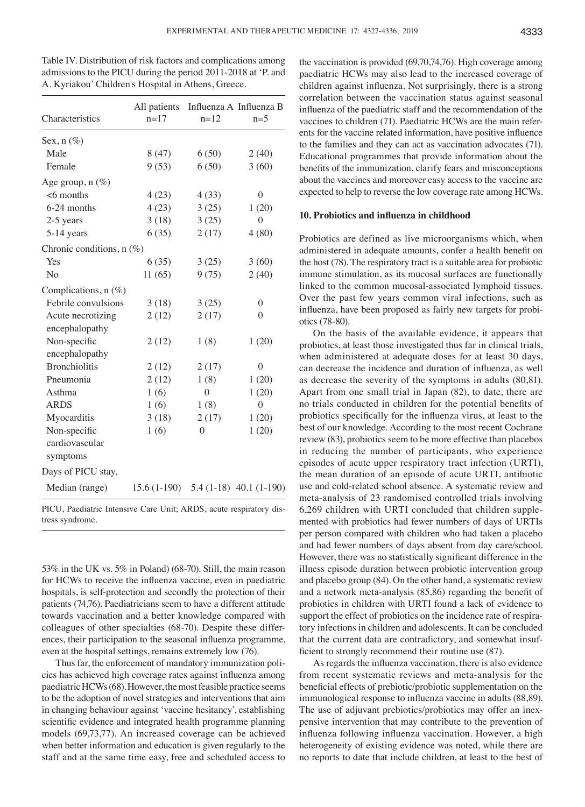Table IV. Distribution of risk factors and complications among admissions to the PICU during the period 2011-2018 at 'P. and A. Kyriakou' Children's Hospital in Athens, Greece.

| Characteristics           | $n = 17$                                | $n=12$           | All patients Influenza A Influenza B<br>$n=5$ |
|---------------------------|-----------------------------------------|------------------|-----------------------------------------------|
| Sex, $n$ (%)              |                                         |                  |                                               |
| Male                      | 8(47)                                   | 6(50)            | 2(40)                                         |
| Female                    | 9(53)                                   | 6(50)            | 3(60)                                         |
| Age group, $n$ (%)        |                                         |                  |                                               |
| $<$ 6 months              | 4(23)                                   | 4(33)            | $\overline{0}$                                |
| 6-24 months               | 4(23)                                   | 3(25)            | 1(20)                                         |
| 2-5 years                 | 3(18)                                   | 3(25)            | $\boldsymbol{0}$                              |
| 5-14 years                | 6(35)                                   | 2(17)            | 4(80)                                         |
| Chronic conditions, n (%) |                                         |                  |                                               |
| Yes                       | 6(35)                                   | 3(25)            | 3(60)                                         |
| No                        | 11(65)                                  | 9(75)            | 2(40)                                         |
| Complications, $n$ (%)    |                                         |                  |                                               |
| Febrile convulsions       | 3(18)                                   | 3(25)            | $\overline{0}$                                |
| Acute necrotizing         | 2(12)                                   | 2(17)            | $\theta$                                      |
| encephalopathy            |                                         |                  |                                               |
| Non-specific              | 2(12)                                   | 1(8)             | 1(20)                                         |
| encephalopathy            |                                         |                  |                                               |
| <b>Bronchiolitis</b>      | 2(12)                                   | 2(17)            | $\theta$                                      |
| Pneumonia                 | 2(12)                                   | 1(8)             | 1(20)                                         |
| Asthma                    | 1(6)                                    | $\theta$         | 1(20)                                         |
| <b>ARDS</b>               | 1(6)                                    | 1(8)             | $\boldsymbol{0}$                              |
| Myocarditis               | 3(18)                                   | 2(17)            | 1(20)                                         |
| Non-specific              | 1(6)                                    | $\boldsymbol{0}$ | 1(20)                                         |
| cardiovascular            |                                         |                  |                                               |
| symptoms                  |                                         |                  |                                               |
| Days of PICU stay,        |                                         |                  |                                               |
| Median (range)            | $15.6(1-190)$ $5.4(1-18)$ $40.1(1-190)$ |                  |                                               |
|                           |                                         | 1.000            |                                               |

PICU, Paediatric Intensive Care Unit; ARDS, acute respiratory distress syndrome.

53% in the UK vs. 5% in Poland) (68‑70). Still, the main reason for HCWs to receive the influenza vaccine, even in paediatric hospitals, is self-protection and secondly the protection of their patients (74,76). Paediatricians seem to have a different attitude towards vaccination and a better knowledge compared with colleagues of other specialties (68‑70). Despite these differences, their participation to the seasonal influenza programme, even at the hospital settings, remains extremely low (76).

Thus far, the enforcement of mandatory immunization policies has achieved high coverage rates against influenza among paediatric HCWs(68). However, the most feasible practice seems to be the adoption of novel strategies and interventions that aim in changing behaviour against 'vaccine hesitancy', establishing scientific evidence and integrated health programme planning models (69,73,77). An increased coverage can be achieved when better information and education is given regularly to the staff and at the same time easy, free and scheduled access to

the vaccination is provided (69,70,74,76). High coverage among paediatric HCWs may also lead to the increased coverage of children against influenza. Not surprisingly, there is a strong correlation between the vaccination status against seasonal influenza of the paediatric staff and the recommendation of the vaccines to children (71). Paediatric HCWs are the main referents for the vaccine related information, have positive influence to the families and they can act as vaccination advocates (71). Educational programmes that provide information about the benefits of the immunization, clarify fears and misconceptions about the vaccines and moreover easy access to the vaccine are expected to help to reverse the low coverage rate among HCWs.

## **10. Probiotics and influenza in childhood**

Probiotics are defined as live microorganisms which, when administered in adequate amounts, confer a health benefit on the host (78). The respiratory tract is a suitable area for probiotic immune stimulation, as its mucosal surfaces are functionally linked to the common mucosal-associated lymphoid tissues. Over the past few years common viral infections, such as influenza, have been proposed as fairly new targets for probiotics (78‑80).

On the basis of the available evidence, it appears that probiotics, at least those investigated thus far in clinical trials, when administered at adequate doses for at least 30 days, can decrease the incidence and duration of influenza, as well as decrease the severity of the symptoms in adults (80,81). Apart from one small trial in Japan (82), to date, there are no trials conducted in children for the potential benefits of probiotics specifically for the influenza virus, at least to the best of our knowledge. According to the most recent Cochrane review (83), probiotics seem to be more effective than placebos in reducing the number of participants, who experience episodes of acute upper respiratory tract infection (URTI), the mean duration of an episode of acute URTI, antibiotic use and cold-related school absence. A systematic review and meta-analysis of 23 randomised controlled trials involving 6,269 children with URTI concluded that children supplemented with probiotics had fewer numbers of days of URTIs per person compared with children who had taken a placebo and had fewer numbers of days absent from day care/school. However, there was no statistically significant difference in the illness episode duration between probiotic intervention group and placebo group (84). On the other hand, a systematic review and a network meta-analysis (85,86) regarding the benefit of probiotics in children with URTI found a lack of evidence to support the effect of probiotics on the incidence rate of respiratory infections in children and adolescents. It can be concluded that the current data are contradictory, and somewhat insufficient to strongly recommend their routine use (87).

As regards the influenza vaccination, there is also evidence from recent systematic reviews and meta-analysis for the beneficial effects of prebiotic/probiotic supplementation on the immunological response to influenza vaccine in adults (88,89). The use of adjuvant prebiotics/probiotics may offer an inexpensive intervention that may contribute to the prevention of influenza following influenza vaccination. However, a high heterogeneity of existing evidence was noted, while there are no reports to date that include children, at least to the best of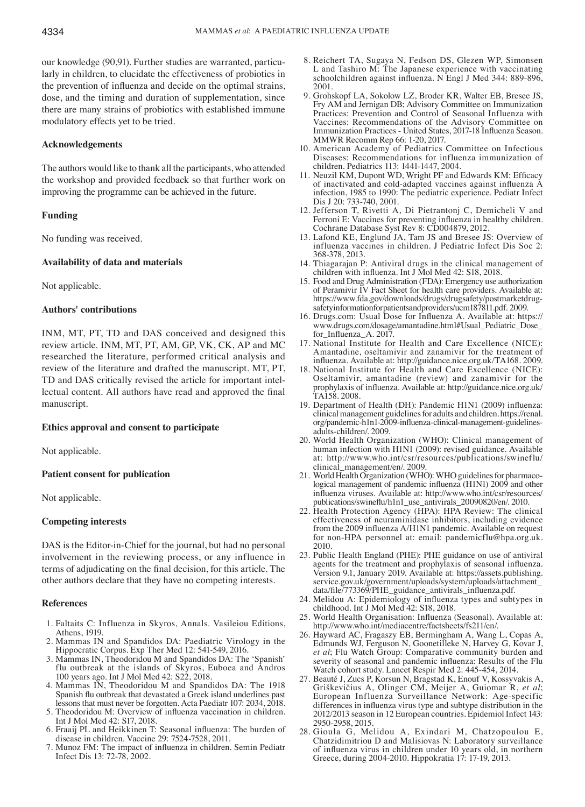our knowledge (90,91). Further studies are warranted, particularly in children, to elucidate the effectiveness of probiotics in the prevention of influenza and decide on the optimal strains, dose, and the timing and duration of supplementation, since there are many strains of probiotics with established immune modulatory effects yet to be tried.

# **Acknowledgements**

The authors would like to thank all the participants, who attended the workshop and provided feedback so that further work on improving the programme can be achieved in the future.

# **Funding**

No funding was received.

## **Availability of data and materials**

Not applicable.

# **Authors' contributions**

INM, MT, PT, TD and DAS conceived and designed this review article. INM, MT, PT, AM, GP, VK, CK, AP and MC researched the literature, performed critical analysis and review of the literature and drafted the manuscript. MT, PT, TD and DAS critically revised the article for important intellectual content. All authors have read and approved the final manuscript.

## **Ethics approval and consent to participate**

Not applicable.

## **Patient consent for publication**

Not applicable.

## **Competing interests**

DAS is the Editor-in-Chief for the journal, but had no personal involvement in the reviewing process, or any influence in terms of adjudicating on the final decision, for this article. The other authors declare that they have no competing interests.

# **References**

- 1. Faltaits C: Influenza in Skyros, Annals. Vasileiou Editions, Athens, 1919.
- 2. Mammas IN and Spandidos DA: Paediatric Virology in the Hippocratic Corpus. Exp Ther Med 12: 541-549, 2016.
- 3. Mammas IN, Theodoridou M and Spandidos DA: The 'Spanish' flu outbreak at the islands of Skyros, Euboea and Andros 100 years ago. Int J Mol Med 42: S22, 2018.
- 4. Mammas IN, Theodoridou M and Spandidos DA: The 1918 Spanish flu outbreak that devastated a Greek island underlines past lessons that must never be forgotten. Acta Paediatr 107: 2034, 2018.
- 5. Theodoridou M: Overview of influenza vaccination in children. Int J Mol Med 42: S17, 2018.
- 6. Fraaij PL and Heikkinen T: Seasonal influenza: The burden of disease in children. Vaccine 29: 7524-7528, 2011.
- 7. Munoz FM: The impact of influenza in children. Semin Pediatr Infect Dis 13: 72-78, 2002.
- 8. Reichert TA, Sugaya N, Fedson DS, Glezen WP, Simonsen L and Tashiro M: The Japanese experience with vaccinating schoolchildren against influenza. N Engl J Med 344: 889-896, 2001.
- 9. Grohskopf LA, Sokolow LZ, Broder KR, Walter EB, Bresee JS, Fry AM and Jernigan DB; Advisory Committee on Immunization Practices: Prevention and Control of Seasonal Influenza with Vaccines: Recommendations of the Advisory Committee on Immunization Practices - United States, 2017-18 Influenza Season. MMWR Recomm Rep 66: 1-20, 2017.
- 10. American Academy of Pediatrics Committee on Infectious Diseases: Recommendations for influenza immunization of children. Pediatrics 113: 1441-1447, 2004.
- 11. Neuzil KM, Dupont WD, Wright PF and Edwards KM: Efficacy of inactivated and cold-adapted vaccines against influenza A infection, 1985 to 1990: The pediatric experience. Pediatr Infect Dis J 20: 733-740, 2001.
- 12. Jefferson T, Rivetti A, Di Pietrantonj C, Demicheli V and Ferroni E: Vaccines for preventing influenza in healthy children. Cochrane Database Syst Rev 8: CD004879, 2012.
- 13. Lafond KE, Englund JA, Tam JS and Bresee JS: Overview of influenza vaccines in children. J Pediatric Infect Dis Soc 2: 368-378, 2013.
- 14. Thiagarajan P: Antiviral drugs in the clinical management of children with influenza. Int J Mol Med 42: S18, 2018.
- 15. Food and Drug Administration (FDA): Emergency use authorization of Peramivir IV Fact Sheet for health care providers. Available at: safetyinformationforpatientsandproviders/ucm187811.pdf. 2009.
- 16. Drugs.com: Usual Dose for Influenza A. Available at: https:// www.drugs.com/dosage/amantadine.html#Usual\_Pediatric\_Dose for Influenza A. 2017.
- 17. National Institute for Health and Care Excellence (NICE): Amantadine, oseltamivir and zanamivir for the treatment of influenza. Available at: http://guidance.nice.org.uk/TA168. 2009.
- 18. National Institute for Health and Care Excellence (NICE): Oseltamivir, amantadine (review) and zanamivir for the prophylaxis of influenza. Available at: http://guidance.nice.org.uk/ TA158. 2008.
- 19. Department of Health (DH): Pandemic H1N1 (2009) influenza: clinical management guidelines for adults and children. https://renal. org/pandemic-h1n1-2009-influenza-clinical-management-guidelinesadults-children/. 2009.
- 20. World Health Organization (WHO): Clinical management of human infection with H1N1 (2009): revised guidance. Available at: http://www.who.int/csr/resources/publications/swineflu/ clinical\_management/en/. 2009.
- 21. World Health Organization (WHO): WHO guidelines for pharmacological management of pandemic influenza (H1N1) 2009 and other influenza viruses. Available at: http://www.who.int/csr/resources/ publications/swineflu/h1n1\_use\_antivirals\_20090820/en/. 2010.
- 22. Health Protection Agency (HPA): HPA Review: The clinical effectiveness of neuraminidase inhibitors, including evidence from the 2009 influenza A/H1N1 pandemic. Available on request for non-HPA personnel at: email: pandemicflu@hpa.org.uk. 2010.
- 23. Public Health England (PHE): PHE guidance on use of antiviral agents for the treatment and prophylaxis of seasonal influenza. Version 9.1, January 2019. Available at: https://assets.publishing. service.gov.uk/government/uploads/system/uploads/attachment\_ data/file/773369/PHE\_guidance\_antivirals\_influenza.pdf.
- 24. Melidou A: Epidemiology of influenza types and subtypes in childhood. Int J Mol Med 42: S18, 2018.
- 25. World Health Organisation: Influenza (Seasonal). Available at: http://www.who.int/mediacentre/factsheets/fs211/en/.
- 26. Hayward AC, Fragaszy EB, Bermingham A, Wang L, Copas A, Edmunds WJ, Ferguson N, Goonetilleke N, Harvey G, Kovar J, *et al*; Flu Watch Group: Comparative community burden and severity of seasonal and pandemic influenza: Results of the Flu Watch cohort study. Lancet Respir Med 2: 445-454, 2014.
- 27. Beauté J, Zucs P, Korsun N, Bragstad K, Enouf V, Kossyvakis A, Griškevičius A, Olinger CM, Meijer A, Guiomar R, *et al*; European Influenza Surveillance Network: Age-specific differences in influenza virus type and subtype distribution in the 2012/2013 season in 12 European countries. Epidemiol Infect 143: 2950-2958, 2015.
- 28. Gioula G, Melidou A, Exindari M, Chatzopoulou E, Chatzidimitriou D and Malisiovas N: Laboratory surveillance of influenza virus in children under 10 years old, in northern Greece, during 2004-2010. Hippokratia 17: 17-19, 2013.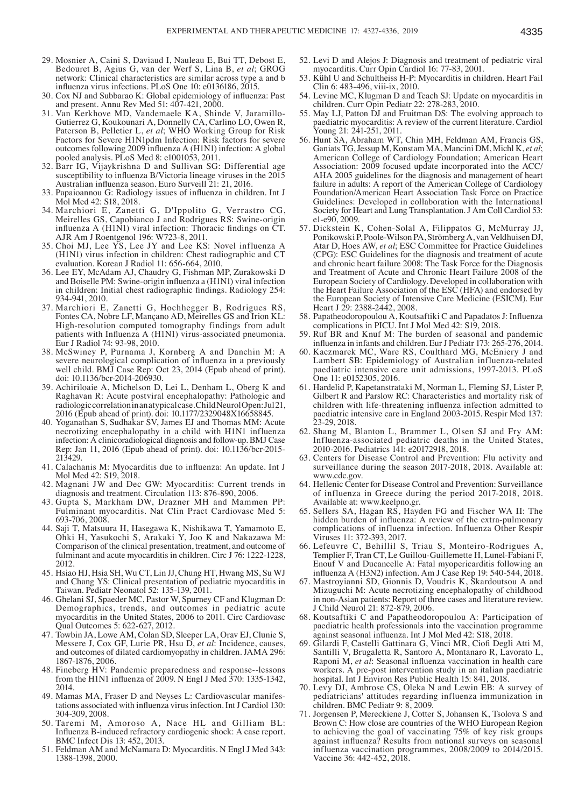- 29. Mosnier A, Caini S, Daviaud I, Nauleau E, Bui TT, Debost E, Bedouret B, Agius G, van der Werf S, Lina B, *et al*; GROG network: Clinical characteristics are similar across type a and b influenza virus infections. PLoS One 10: e0136186, 2015.
- 30. Cox NJ and Subbarao K: Global epidemiology of influenza: Past and present. Annu Rev Med 51: 407-421, 2000.
- 31. Van Kerkhove MD, Vandemaele KA, Shinde V, Jaramillo-Gutierrez G, Koukounari A, Donnelly CA, Carlino LO, Owen R, Paterson B, Pelletier L, *et al*; WHO Working Group for Risk Factors for Severe H1N1pdm Infection: Risk factors for severe outcomes following 2009 influenza A (H1N1) infection: A global pooled analysis. PLoS Med 8: e1001053, 2011.
- 32. Barr IG, Vijaykrishna D and Sullivan SG: Differential age susceptibility to influenza B/Victoria lineage viruses in the 2015 Australian influenza season. Euro Surveill 21: 21, 2016.
- 33. Papaioannou G: Radiology issues of influenza in children. Int J Mol Med 42: S18, 2018.
- 34. Marchiori E, Zanetti G, D'Ippolito G, Verrastro CG, Meirelles GS, Capobianco J and Rodrigues RS: Swine-origin influenza A  $(H1N1)$  viral infection: Thoracic findings on  $\overline{C}T$ . AJR Am J Roentgenol 196: W723-8, 2011.
- 35. Choi MJ, Lee YS, Lee JY and Lee KS: Novel influenza A (H1N1) virus infection in children: Chest radiographic and CT evaluation. Korean J Radiol 11: 656-664, 2010.
- 36. Lee EY, McAdam AJ, Chaudry G, Fishman MP, Zurakowski D and Boiselle PM: Swine-origin influenza a (H1N1) viral infection in children: Initial chest radiographic findings. Radiology 254: 934-941, 2010.
- 37. Marchiori E, Zanetti G, Hochhegger B, Rodrigues RS, Fontes CA, Nobre LF, Mançano AD, Meirelles GS and Irion KL: High-resolution computed tomography findings from adult patients with Influenza A (H1N1) virus-associated pneumonia. Eur J Radiol 74: 93-98, 2010.
- 38. McSwiney P, Purnama J, Kornberg A and Danchin M: A severe neurological complication of influenza in a previously well child. BMJ Case Rep: Oct 23, 2014 (Epub ahead of print). doi: 10.1136/bcr-2014-206930.
- 39. Achiriloaie A, Michelson D, Lei L, Denham L, Oberg K and Raghavan R: Acute postviral encephalopathy: Pathologic and radiologic correlation in an atypical case. Child Neurol Open: Jul21, 2016 (Epub ahead of print). doi: 10.1177/2329048X16658845.
- 40. Yoganathan S, Sudhakar SV, James EJ and Thomas MM: Acute necrotizing encephalopathy in a child with H1N1 influenza infection: A clinicoradiological diagnosis and follow-up. BMJ Case Rep: Jan 11, 2016 (Epub ahead of print). doi: 10.1136/bcr-2015-213429.
- 41. Calachanis M: Myocarditis due to influenza: An update. Int J Mol Med 42: S19, 2018.
- 42. Magnani JW and Dec GW: Myocarditis: Current trends in diagnosis and treatment. Circulation 113: 876-890, 2006.
- 43. Gupta S, Markham DW, Drazner MH and Mammen PP: Fulminant myocarditis. Nat Clin Pract Cardiovasc Med 5: 693-706, 2008.
- 44. Saji T, Matsuura H, Hasegawa K, Nishikawa T, Yamamoto E, Ohki H, Yasukochi S, Arakaki Y, Joo K and Nakazawa M: Comparison of the clinical presentation, treatment, and outcome of fulminant and acute myocarditis in children. Circ J 76: 1222-1228, 2012.
- 45. Hsiao HJ, Hsia SH, Wu CT, Lin JJ, Chung HT, Hwang MS, Su WJ and Chang YS: Clinical presentation of pediatric myocarditis in Taiwan. Pediatr Neonatol 52: 135-139, 2011.
- 46. Ghelani SJ, Spaeder MC, Pastor W, Spurney CF and Klugman D: Demographics, trends, and outcomes in pediatric acute myocarditis in the United States, 2006 to 2011. Circ Cardiovasc Qual Outcomes 5: 622-627, 2012.
- 47. Towbin JA, Lowe AM, Colan SD, Sleeper LA, Orav EJ, Clunie S, Messere J, Cox GF, Lurie PR, Hsu D, *et al*: Incidence, causes, and outcomes of dilated cardiomyopathy in children. JAMA 296: 1867-1876, 2006.
- 48. Fineberg HV: Pandemic preparedness and response--lessons from the H1N1 influenza of 2009. N Engl J Med 370: 1335-1342, 2014.<br>49. Mamas MA, Fraser D and Neyses L: Cardiovascular manifes-
- tations associated with influenza virus infection. Int J Cardiol 130: 304-309, 2008.
- 50. Taremi M, Amoroso A, Nace HL and Gilliam BL: Influenza B-induced refractory cardiogenic shock: A case report. BMC Infect Dis 13: 452, 2013.
- 51. Feldman AM and McNamara D: Myocarditis. N Engl J Med 343: 1388-1398, 2000.
- 52. Levi D and Alejos J: Diagnosis and treatment of pediatric viral myocarditis. Curr Opin Cardiol 16: 77-83, 2001.
- 53. Kühl U and Schultheiss H-P: Myocarditis in children. Heart Fail Clin 6: 483-496, viii-ix, 2010.
- 54. Levine MC, Klugman D and Teach SJ: Update on myocarditis in children. Curr Opin Pediatr 22: 278-283, 2010.
- 55. May LJ, Patton DJ and Fruitman DS: The evolving approach to paediatric myocarditis: A review of the current literature. Cardiol Young 21: 241-251, 2011.
- 56. Hunt SA, Abraham WT, Chin MH, Feldman AM, Francis GS, Ganiats TG, Jessup M, Konstam MA, Mancini DM, Michl K, *et al*; American College of Cardiology Foundation; American Heart Association: 2009 focused update incorporated into the ACC/ AHA 2005 guidelines for the diagnosis and management of heart failure in adults: A report of the American College of Cardiology Foundation/American Heart Association Task Force on Practice Guidelines: Developed in collaboration with the International Society for Heart and Lung Transplantation. J Am Coll Cardiol 53: e1-e90, 2009.
- 57. Dickstein K, Cohen-Solal A, Filippatos G, McMurray JJ, Ponikowski P, Poole-Wilson PA, Strömberg A, van Veldhuisen DJ, Atar D, Hoes AW, *et al*; ESC Committee for Practice Guidelines (CPG): ESC Guidelines for the diagnosis and treatment of acute and chronic heart failure 2008: The Task Force for the Diagnosis and Treatment of Acute and Chronic Heart Failure 2008 of the European Society of Cardiology. Developed in collaboration with the Heart Failure Association of the ESC (HFA) and endorsed by the European Society of Intensive Care Medicine (ESICM). Eur Heart J 29: 2388-2442, 2008.
- 58. Papatheodoropoulou A, Koutsaftiki C and Papadatos J: Influenza complications in PICU. Int J Mol Med 42: S19, 2018.
- 59. Ruf BR and Knuf M: The burden of seasonal and pandemic influenza in infants and children. Eur J Pediatr 173: 265-276, 2014.
- 60. Kaczmarek MC, Ware RS, Coulthard MG, McEniery J and Lambert SB: Epidemiology of Australian influenza-related paediatric intensive care unit admissions, 1997-2013. PLoS One 11: e0152305, 2016.
- 61. Hardelid P, Kapetanstrataki M, Norman L, Fleming SJ, Lister P, Gilbert R and Parslow RC: Characteristics and mortality risk of children with life-threatening influenza infection admitted to paediatric intensive care in England 2003-2015. Respir Med 137: 23-29, 2018.
- 62. Shang M, Blanton L, Brammer L, Olsen SJ and Fry AM: Influenza-associated pediatric deaths in the United States, 2010-2016. Pediatrics 141: e20172918, 2018.
- 63. Centers for Disease Control and Prevention: Flu activity and surveillance during the season 2017-2018, 2018. Available at: www.cdc.gov.
- 64. Hellenic Center for Disease Control and Prevention: Surveillance of influenza in Greece during the period 2017-2018, 2018. Available at: www.keelpno.gr.
- 65. Sellers SA, Hagan RS, Hayden FG and Fischer WA II: The hidden burden of influenza: A review of the extra-pulmonary complications of influenza infection. Influenza Other Respir Viruses 11: 372-393, 2017.
- 66. Lefeuvre C, Behillil S, Triau S, Monteiro-Rodrigues A, Templier F, Tran CT, Le Guillou-Guillemette H, Lunel-Fabiani F, Enouf V and Ducancelle A: Fatal myopericarditis following an influenza A (H3N2) infection. Am J Case Rep 19: 540-544, 2018.
- 67. Mastroyianni SD, Gionnis D, Voudris K, Skardoutsou A and Mizuguchi M: Acute necrotizing encephalopathy of childhood in non-Asian patients: Report of three cases and literature review. J Child Neurol 21: 872-879, 2006.
- 68. Koutsaftiki C and Papatheodoropoulou A: Participation of paediatric health professionals into the vaccination programme against seasonal influenza. Int J Mol Med 42: S18, 2018.
- 69. Gilardi F, Castelli Gattinara G, Vinci MR, Ciofi Degli Atti M, Santilli V, Brugaletta R, Santoro A, Montanaro R, Lavorato L, Raponi M, *et al*: Seasonal influenza vaccination in health care workers. A pre-post intervention study in an italian paediatric hospital. Int J Environ Res Public Health 15: 841, 2018.
- 70. Levy DJ, Ambrose CS, Oleka N and Lewin EB: A survey of pediatricians' attitudes regarding influenza immunization in children. BMC Pediatr 9: 8, 2009.
- 71. Jorgensen P, Mereckiene J, Cotter S, Johansen K, Tsolova S and Brown C: How close are countries of the WHO European Region to achieving the goal of vaccinating 75% of key risk groups against influenza? Results from national surveys on seasonal influenza vaccination programmes, 2008/2009 to 2014/2015. Vaccine 36: 442-452, 2018.